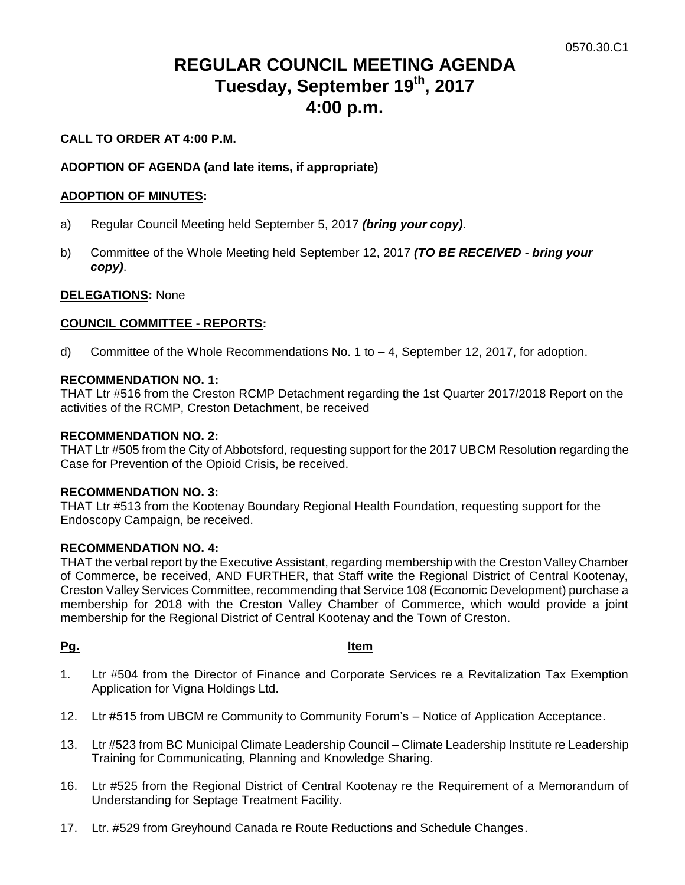# **REGULAR COUNCIL MEETING AGENDA Tuesday, September 19th, 2017 4:00 p.m.**

# **CALL TO ORDER AT 4:00 P.M.**

## **ADOPTION OF AGENDA (and late items, if appropriate)**

#### **ADOPTION OF MINUTES:**

- a) Regular Council Meeting held September 5, 2017 *(bring your copy)*.
- b) Committee of the Whole Meeting held September 12, 2017 *(TO BE RECEIVED - bring your copy)*.

#### **DELEGATIONS:** None

#### **COUNCIL COMMITTEE - REPORTS:**

d) Committee of the Whole Recommendations No. 1 to – 4, September 12, 2017, for adoption.

### **RECOMMENDATION NO. 1:**

THAT Ltr #516 from the Creston RCMP Detachment regarding the 1st Quarter 2017/2018 Report on the activities of the RCMP, Creston Detachment, be received

#### **RECOMMENDATION NO. 2:**

THAT Ltr #505 from the City of Abbotsford, requesting support for the 2017 UBCM Resolution regarding the Case for Prevention of the Opioid Crisis, be received.

#### **RECOMMENDATION NO. 3:**

THAT Ltr #513 from the Kootenay Boundary Regional Health Foundation, requesting support for the Endoscopy Campaign, be received.

### **RECOMMENDATION NO. 4:**

THAT the verbal report by the Executive Assistant, regarding membership with the Creston Valley Chamber of Commerce, be received, AND FURTHER, that Staff write the Regional District of Central Kootenay, Creston Valley Services Committee, recommending that Service 108 (Economic Development) purchase a membership for 2018 with the Creston Valley Chamber of Commerce, which would provide a joint membership for the Regional District of Central Kootenay and the Town of Creston.

#### **Pg. Item**

- 1. Ltr #504 from the Director of Finance and Corporate Services re a Revitalization Tax Exemption Application for Vigna Holdings Ltd.
- 12. Ltr #515 from UBCM re Community to Community Forum's Notice of Application Acceptance.
- 13. Ltr #523 from BC Municipal Climate Leadership Council Climate Leadership Institute re Leadership Training for Communicating, Planning and Knowledge Sharing.
- 16. Ltr #525 from the Regional District of Central Kootenay re the Requirement of a Memorandum of Understanding for Septage Treatment Facility.
- 17. Ltr. #529 from Greyhound Canada re Route Reductions and Schedule Changes.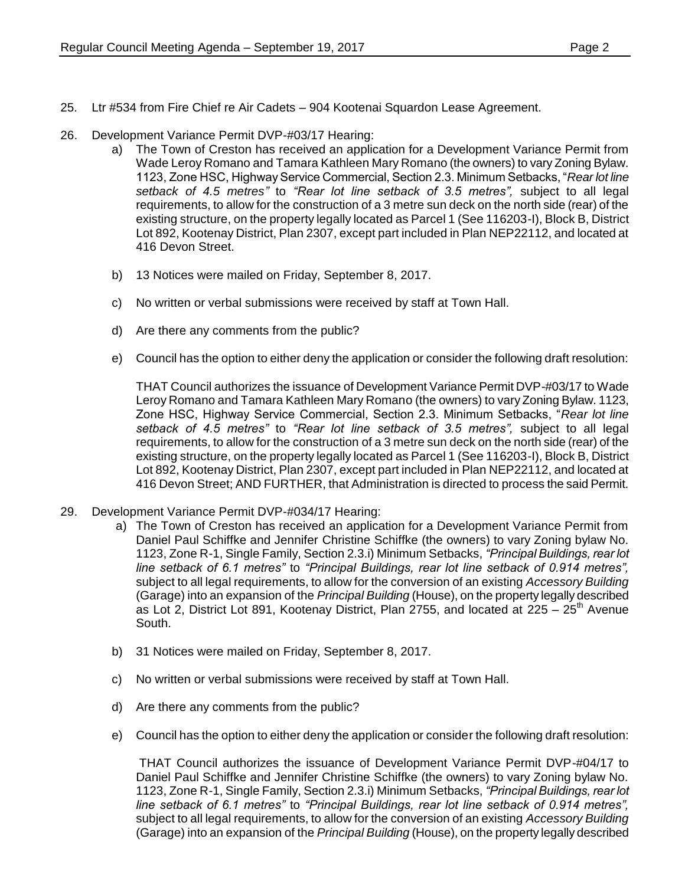- 25. Ltr #534 from Fire Chief re Air Cadets 904 Kootenai Squardon Lease Agreement.
- 26. Development Variance Permit DVP-#03/17 Hearing:
	- a) The Town of Creston has received an application for a Development Variance Permit from Wade Leroy Romano and Tamara Kathleen Mary Romano (the owners) to vary Zoning Bylaw. 1123, Zone HSC, Highway Service Commercial, Section 2.3. Minimum Setbacks, "*Rear lot line setback of 4.5 metres"* to *"Rear lot line setback of 3.5 metres",* subject to all legal requirements, to allow for the construction of a 3 metre sun deck on the north side (rear) of the existing structure, on the property legally located as Parcel 1 (See 116203-I), Block B, District Lot 892, Kootenay District, Plan 2307, except part included in Plan NEP22112, and located at 416 Devon Street.
	- b) 13 Notices were mailed on Friday, September 8, 2017.
	- c) No written or verbal submissions were received by staff at Town Hall.
	- d) Are there any comments from the public?
	- e) Council has the option to either deny the application or consider the following draft resolution:

THAT Council authorizes the issuance of Development Variance Permit DVP-#03/17 to Wade Leroy Romano and Tamara Kathleen Mary Romano (the owners) to vary Zoning Bylaw. 1123, Zone HSC, Highway Service Commercial, Section 2.3. Minimum Setbacks, "*Rear lot line setback of 4.5 metres"* to *"Rear lot line setback of 3.5 metres",* subject to all legal requirements, to allow for the construction of a 3 metre sun deck on the north side (rear) of the existing structure, on the property legally located as Parcel 1 (See 116203-I), Block B, District Lot 892, Kootenay District, Plan 2307, except part included in Plan NEP22112, and located at 416 Devon Street; AND FURTHER, that Administration is directed to process the said Permit.

- 29. Development Variance Permit DVP-#034/17 Hearing:
	- a) The Town of Creston has received an application for a Development Variance Permit from Daniel Paul Schiffke and Jennifer Christine Schiffke (the owners) to vary Zoning bylaw No. 1123, Zone R-1, Single Family, Section 2.3.i) Minimum Setbacks, *"Principal Buildings, rear lot line setback of 6.1 metres"* to *"Principal Buildings, rear lot line setback of 0.914 metres",* subject to all legal requirements, to allow for the conversion of an existing *Accessory Building* (Garage) into an expansion of the *Principal Building* (House), on the property legally described as Lot 2, District Lot 891, Kootenay District, Plan 2755, and located at  $225 - 25$ <sup>th</sup> Avenue South.
	- b) 31 Notices were mailed on Friday, September 8, 2017.
	- c) No written or verbal submissions were received by staff at Town Hall.
	- d) Are there any comments from the public?
	- e) Council has the option to either deny the application or consider the following draft resolution:

THAT Council authorizes the issuance of Development Variance Permit DVP-#04/17 to Daniel Paul Schiffke and Jennifer Christine Schiffke (the owners) to vary Zoning bylaw No. 1123, Zone R-1, Single Family, Section 2.3.i) Minimum Setbacks, *"Principal Buildings, rear lot line setback of 6.1 metres"* to *"Principal Buildings, rear lot line setback of 0.914 metres",* subject to all legal requirements, to allow for the conversion of an existing *Accessory Building* (Garage) into an expansion of the *Principal Building* (House), on the property legally described